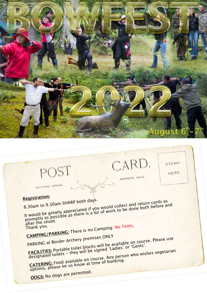

CARD.

ADDRESS ONLY

STAMP

HERE

**Registration:**

POST

WRITING SPACE.

8.30am to 9.30am SHARP both days. 3.30am to 9.30am SHARP both days.<br>It would be greatly appreciated if you would collect and return cards as  $\frac{1}{2}$ , 30am to 9.30am shall be seen if you would collect and return call the greatly appreciated if you would collect and return call the greatly appreciated if you would collect and return call before and the work to after the shoot.

Thank you.<br>CAMPING/PARKING: There is no Camping. No Tents.

PARKING at Border Archery premises ONLY **FACILITIES:** Portable toilet blocks will be available on course. Please use

TACLLITES: FULLAVIE LUIJEL DIUCKS WILL DE AVAILAVIE UIL CUILI<br>designated toilets - they will be signed 'Ladies' or 'Gents'. **COLLITIES:** Portable show will be signed Easth who wishes vegetarian<br>designated toilets – they will be signed Easth person who wishes vegetarian<br>CATERING: Food available on course. Any person who wishes vegetarian

CATERING: Food available on courser booking.<br>options, please let us know at time of booking.

**DOGS:** No dogs are permitted.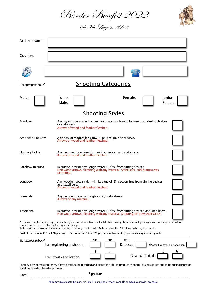Border Bowfest 2022

6th-7th August, 2022



 $\epsilon$ 

| Archers Name:                                                                                                                                                                                                                                                                                                                                        |                                                                                                                                                           |
|------------------------------------------------------------------------------------------------------------------------------------------------------------------------------------------------------------------------------------------------------------------------------------------------------------------------------------------------------|-----------------------------------------------------------------------------------------------------------------------------------------------------------|
| Country:                                                                                                                                                                                                                                                                                                                                             |                                                                                                                                                           |
|                                                                                                                                                                                                                                                                                                                                                      |                                                                                                                                                           |
| Tick appropriate box $\sqrt{}$                                                                                                                                                                                                                                                                                                                       | <b>Shooting Categories</b>                                                                                                                                |
| Male:                                                                                                                                                                                                                                                                                                                                                | Female:<br><b>Iunior</b><br>Junior<br>Male:<br>Female:                                                                                                    |
|                                                                                                                                                                                                                                                                                                                                                      | <b>Shooting Styles</b>                                                                                                                                    |
| Primitive                                                                                                                                                                                                                                                                                                                                            | Any styled bow made from natural materials bow to be free from aiming devices<br>or stabilisers.<br>Arrows of wood and feather fletched.                  |
| <b>American Flat Bow</b>                                                                                                                                                                                                                                                                                                                             | Any bow of modern longbow (AFB) design, non recurve.<br>Arrows of wood and feather fletched.                                                              |
| <b>Hunting Tackle</b>                                                                                                                                                                                                                                                                                                                                | Any recurved bow free from aiming devices and stabilisers.<br>Arrows of wood and feather fletched.                                                        |
| <b>Barebow Recurve</b>                                                                                                                                                                                                                                                                                                                               | Recurved bow or any Longbow (AFB) free fromaiming devices.<br>Non wood arrows, fletching with any material. Stabilisers and button rests<br>permitted.    |
| Longbow                                                                                                                                                                                                                                                                                                                                              | Any wooden bow straight-limbedand of "D" section free from aiming devices<br>and stabilisers.<br>Arrows of wood and feather fletched.                     |
| Freestyle                                                                                                                                                                                                                                                                                                                                            | Any recurved Bow with sights and/orstabilisers<br>Arrows of any material.                                                                                 |
| <b>Traditional</b>                                                                                                                                                                                                                                                                                                                                   | Recurved bow or any Longbow (AFB) free from aiming devices and stabilisers.<br>Non wood arrows, fletching with any material. Shooting off bow shelf ONLY. |
| Please note that Border Archery reserves the rightto preside and have the final decision on any disputes including the rightto expulse any archer whose<br>conduct is considered by Border Archery unbecoming.<br>To help with shoot costs entry fees are required to be lodged with Border Archery before the 26th of July to be eligible for entry |                                                                                                                                                           |
| Cost of the shoot is £15 or $E$ 20 per day.<br>Barbecue is £15 or $\epsilon$ 20 per person. Payment by personal cheque is acceptable.                                                                                                                                                                                                                |                                                                                                                                                           |
| Sat<br>Sat<br>Sun<br>Tick appropriate box $\sqrt{}$<br>Barbecue<br>I am registering to shoot on<br>(Please tick if you are vegetarian)                                                                                                                                                                                                               |                                                                                                                                                           |

I remit with application Grand Total: I hereby give permission for my above details to be recorded and stored in order to produce shooting lists, result lists and to be photographedfor

 $f \in$ 

social media and such similar purposes.

Date: Signature:

All communicationsto be made via Email to ann@borderbows.com. No communicationvia Facebook.